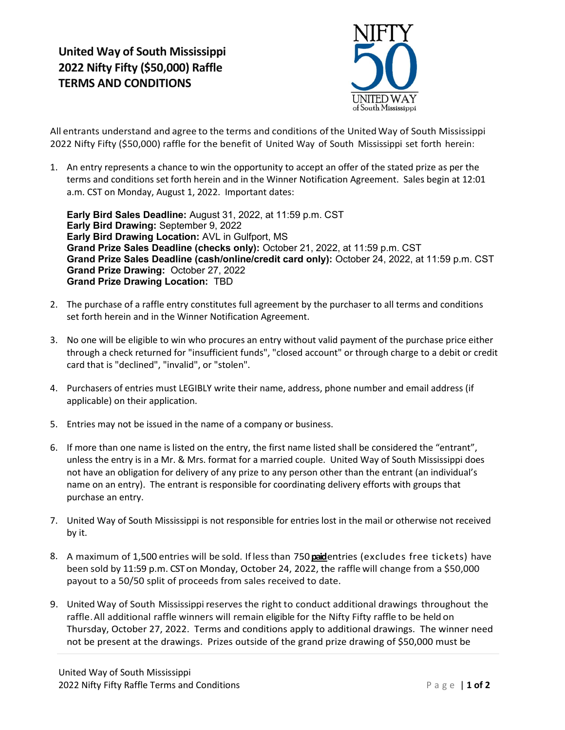

All entrants understand and agree to the terms and conditions of the United Way of South Mississippi 2022 Nifty Fifty (\$50,000) raffle for the benefit of United Way of South Mississippi set forth herein:

1. An entry represents a chance to win the opportunity to accept an offer of the stated prize as per the terms and conditions set forth herein and in the Winner Notification Agreement. Sales begin at 12:01 a.m. CST on Monday, August 1, 2022. Important dates:

Early Bird Sales Deadline: August 31, 2022, at 11:59 p.m. CST Early Bird Drawing: September 9, 2022 Early Bird Drawing Location: AVL in Gulfport, MS Grand Prize Sales Deadline (checks only): October 21, 2022, at 11:59 p.m. CST Grand Prize Sales Deadline (cash/online/credit card only): October 24, 2022, at 11:59 p.m. CST Grand Prize Drawing: October 27, 2022 Grand Prize Drawing Location: TBD

- 2. The purchase of a raffle entry constitutes full agreement by the purchaser to all terms and conditions set forth herein and in the Winner Notification Agreement.
- 3. No one will be eligible to win who procures an entry without valid payment of the purchase price either through a check returned for "insufficient funds", "closed account" or through charge to a debit or credit card that is "declined", "invalid", or "stolen".
- 4. Purchasers of entries must LEGIBLY write their name, address, phone number and email address (if applicable) on their application.
- 5. Entries may not be issued in the name of a company or business.
- 6. If more than one name is listed on the entry, the first name listed shall be considered the "entrant", unless the entry is in a Mr. & Mrs. format for a married couple. United Way of South Mississippi does not have an obligation for delivery of any prize to any person other than the entrant (an individual's name on an entry). The entrant is responsible for coordinating delivery efforts with groups that purchase an entry.
- 7. United Way of South Mississippi is not responsible for entries lost in the mail or otherwise not received by it.
- 8. A maximum of 1,500 entries will be sold. If less than 750 paidentries (excludes free tickets) have been sold by 11:59 p.m. CST on Monday, October 24, 2022, the raffle will change from a \$50,000 payout to a 50/50 split of proceeds from sales received to date.
- 9. United Way of South Mississippi reserves the right to conduct additional drawings throughout the raffle. All additional raffle winners will remain eligible for the Nifty Fifty raffle to be held on Thursday, October 27, 2022. Terms and conditions apply to additional drawings. The winner need not be present at the drawings. Prizes outside of the grand prize drawing of \$50,000 must be